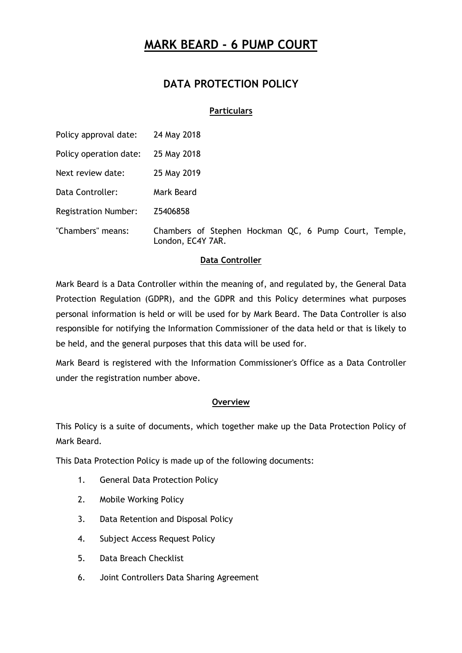## **DATA PROTECTION POLICY**

### **Particulars**

| Policy approval date:       | 24 May 2018                                                                |
|-----------------------------|----------------------------------------------------------------------------|
| Policy operation date:      | 25 May 2018                                                                |
| Next review date:           | 25 May 2019                                                                |
| Data Controller:            | Mark Beard                                                                 |
| <b>Registration Number:</b> | Z5406858                                                                   |
| "Chambers" means:           | Chambers of Stephen Hockman QC, 6 Pump Court, Temple,<br>London, EC4Y 7AR. |

### **Data Controller**

Mark Beard is a Data Controller within the meaning of, and regulated by, the General Data Protection Regulation (GDPR), and the GDPR and this Policy determines what purposes personal information is held or will be used for by Mark Beard. The Data Controller is also responsible for notifying the Information Commissioner of the data held or that is likely to be held, and the general purposes that this data will be used for.

Mark Beard is registered with the Information Commissioner's Office as a Data Controller under the registration number above.

### **Overview**

This Policy is a suite of documents, which together make up the Data Protection Policy of Mark Beard.

This Data Protection Policy is made up of the following documents:

- 1. General Data Protection Policy
- 2. Mobile Working Policy
- 3. Data Retention and Disposal Policy
- 4. Subject Access Request Policy
- 5. Data Breach Checklist
- 6. Joint Controllers Data Sharing Agreement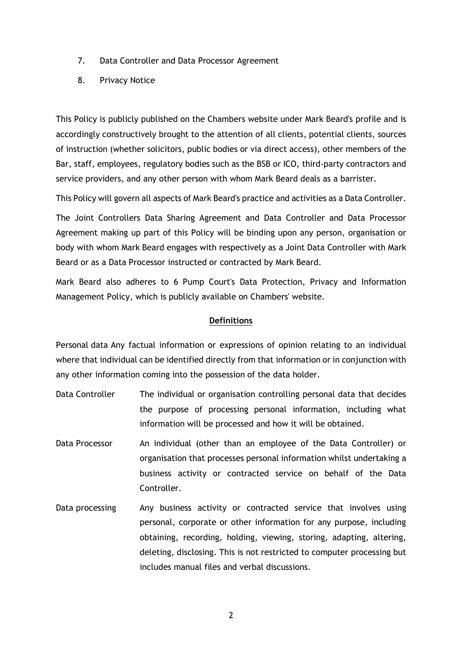- 7. Data Controller and Data Processor Agreement
- 8. Privacy Notice

This Policy is publicly published on the Chambers website under Mark Beard's profile and is accordingly constructively brought to the attention of all clients, potential clients, sources of instruction (whether solicitors, public bodies or via direct access), other members of the Bar, staff, employees, regulatory bodies such as the BSB or ICO, third-party contractors and service providers, and any other person with whom Mark Beard deals as a barrister.

This Policy will govern all aspects of Mark Beard's practice and activities as a Data Controller.

The Joint Controllers Data Sharing Agreement and Data Controller and Data Processor Agreement making up part of this Policy will be binding upon any person, organisation or body with whom Mark Beard engages with respectively as a Joint Data Controller with Mark Beard or as a Data Processor instructed or contracted by Mark Beard.

Mark Beard also adheres to 6 Pump Court's Data Protection, Privacy and Information Management Policy, which is publicly available on Chambers' website.

### **Definitions**

Personal data Any factual information or expressions of opinion relating to an individual where that individual can be identified directly from that information or in conjunction with any other information coming into the possession of the data holder.

- Data Controller The individual or organisation controlling personal data that decides the purpose of processing personal information, including what information will be processed and how it will be obtained.
- Data Processor An individual (other than an employee of the Data Controller) or organisation that processes personal information whilst undertaking a business activity or contracted service on behalf of the Data Controller.
- Data processing any business activity or contracted service that involves using personal, corporate or other information for any purpose, including obtaining, recording, holding, viewing, storing, adapting, altering, deleting, disclosing. This is not restricted to computer processing but includes manual files and verbal discussions.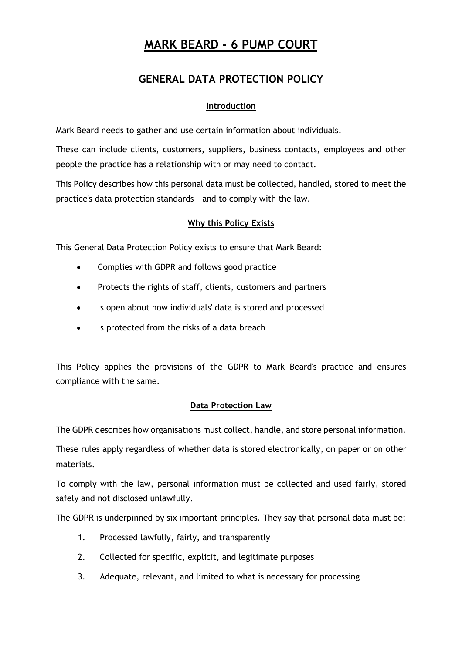## **GENERAL DATA PROTECTION POLICY**

### **Introduction**

Mark Beard needs to gather and use certain information about individuals.

These can include clients, customers, suppliers, business contacts, employees and other people the practice has a relationship with or may need to contact.

This Policy describes how this personal data must be collected, handled, stored to meet the practice's data protection standards – and to comply with the law.

## **Why this Policy Exists**

This General Data Protection Policy exists to ensure that Mark Beard:

- Complies with GDPR and follows good practice
- Protects the rights of staff, clients, customers and partners
- Is open about how individuals' data is stored and processed
- Is protected from the risks of a data breach

This Policy applies the provisions of the GDPR to Mark Beard's practice and ensures compliance with the same.

## **Data Protection Law**

The GDPR describes how organisations must collect, handle, and store personal information.

These rules apply regardless of whether data is stored electronically, on paper or on other materials.

To comply with the law, personal information must be collected and used fairly, stored safely and not disclosed unlawfully.

The GDPR is underpinned by six important principles. They say that personal data must be:

- 1. Processed lawfully, fairly, and transparently
- 2. Collected for specific, explicit, and legitimate purposes
- 3. Adequate, relevant, and limited to what is necessary for processing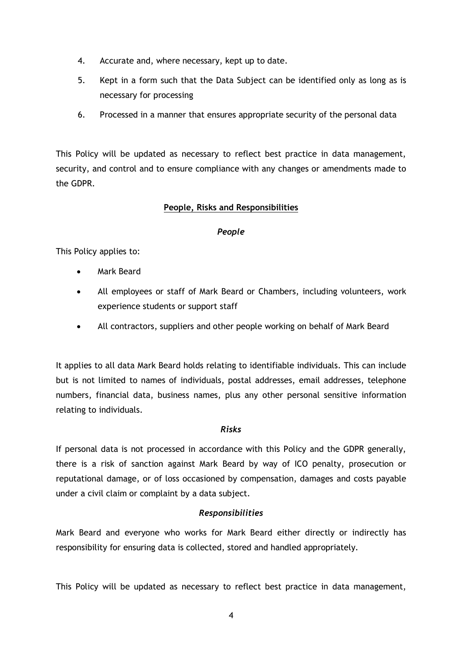- 4. Accurate and, where necessary, kept up to date.
- 5. Kept in a form such that the Data Subject can be identified only as long as is necessary for processing
- 6. Processed in a manner that ensures appropriate security of the personal data

This Policy will be updated as necessary to reflect best practice in data management, security, and control and to ensure compliance with any changes or amendments made to the GDPR.

## **People, Risks and Responsibilities**

### *People*

This Policy applies to:

- Mark Beard
- All employees or staff of Mark Beard or Chambers, including volunteers, work experience students or support staff
- All contractors, suppliers and other people working on behalf of Mark Beard

It applies to all data Mark Beard holds relating to identifiable individuals. This can include but is not limited to names of individuals, postal addresses, email addresses, telephone numbers, financial data, business names, plus any other personal sensitive information relating to individuals.

### *Risks*

If personal data is not processed in accordance with this Policy and the GDPR generally, there is a risk of sanction against Mark Beard by way of ICO penalty, prosecution or reputational damage, or of loss occasioned by compensation, damages and costs payable under a civil claim or complaint by a data subject.

### *Responsibilities*

Mark Beard and everyone who works for Mark Beard either directly or indirectly has responsibility for ensuring data is collected, stored and handled appropriately.

This Policy will be updated as necessary to reflect best practice in data management,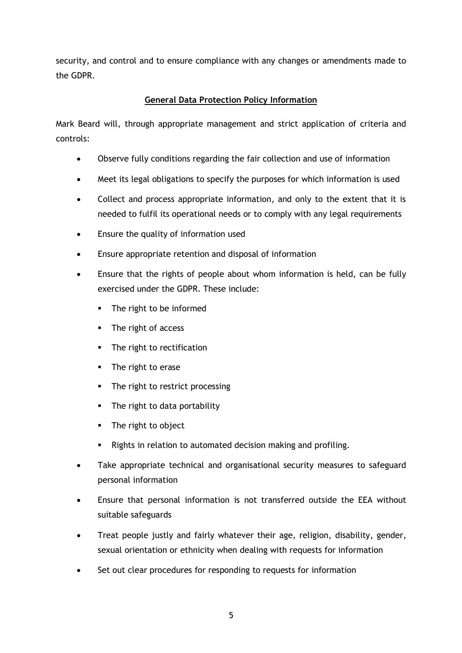security, and control and to ensure compliance with any changes or amendments made to the GDPR.

## **General Data Protection Policy Information**

Mark Beard will, through appropriate management and strict application of criteria and controls:

- Observe fully conditions regarding the fair collection and use of information
- Meet its legal obligations to specify the purposes for which information is used
- Collect and process appropriate information, and only to the extent that it is needed to fulfil its operational needs or to comply with any legal requirements
- Ensure the quality of information used
- Ensure appropriate retention and disposal of information
- Ensure that the rights of people about whom information is held, can be fully exercised under the GDPR. These include:
	- § The right to be informed
	- The right of access
	- The right to rectification
	- **•** The right to erase
	- The right to restrict processing
	- The right to data portability
	- § The right to object
	- Rights in relation to automated decision making and profiling.
- Take appropriate technical and organisational security measures to safeguard personal information
- Ensure that personal information is not transferred outside the EEA without suitable safeguards
- Treat people justly and fairly whatever their age, religion, disability, gender, sexual orientation or ethnicity when dealing with requests for information
- Set out clear procedures for responding to requests for information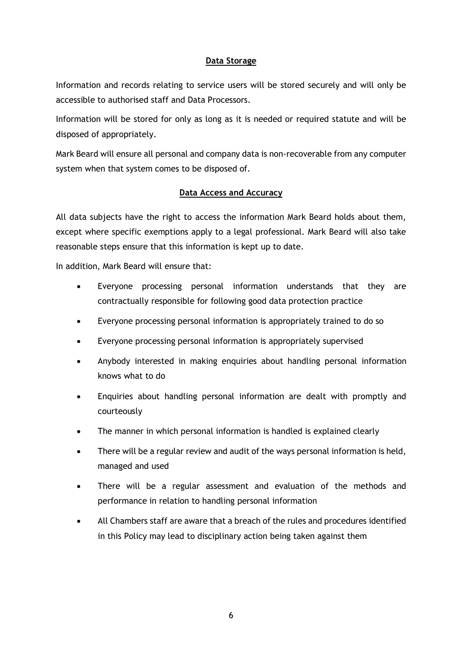### **Data Storage**

Information and records relating to service users will be stored securely and will only be accessible to authorised staff and Data Processors.

Information will be stored for only as long as it is needed or required statute and will be disposed of appropriately.

Mark Beard will ensure all personal and company data is non-recoverable from any computer system when that system comes to be disposed of.

### **Data Access and Accuracy**

All data subjects have the right to access the information Mark Beard holds about them, except where specific exemptions apply to a legal professional. Mark Beard will also take reasonable steps ensure that this information is kept up to date.

In addition, Mark Beard will ensure that:

- Everyone processing personal information understands that they are contractually responsible for following good data protection practice
- Everyone processing personal information is appropriately trained to do so
- Everyone processing personal information is appropriately supervised
- Anybody interested in making enquiries about handling personal information knows what to do
- Enquiries about handling personal information are dealt with promptly and courteously
- The manner in which personal information is handled is explained clearly
- There will be a regular review and audit of the ways personal information is held, managed and used
- There will be a regular assessment and evaluation of the methods and performance in relation to handling personal information
- All Chambers staff are aware that a breach of the rules and procedures identified in this Policy may lead to disciplinary action being taken against them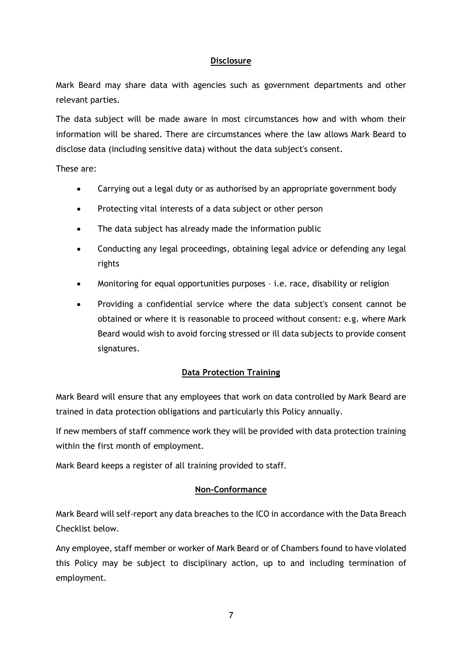### **Disclosure**

Mark Beard may share data with agencies such as government departments and other relevant parties.

The data subject will be made aware in most circumstances how and with whom their information will be shared. There are circumstances where the law allows Mark Beard to disclose data (including sensitive data) without the data subject's consent.

These are:

- Carrying out a legal duty or as authorised by an appropriate government body
- Protecting vital interests of a data subject or other person
- The data subject has already made the information public
- Conducting any legal proceedings, obtaining legal advice or defending any legal rights
- Monitoring for equal opportunities purposes i.e. race, disability or religion
- Providing a confidential service where the data subject's consent cannot be obtained or where it is reasonable to proceed without consent: e.g. where Mark Beard would wish to avoid forcing stressed or ill data subjects to provide consent signatures.

### **Data Protection Training**

Mark Beard will ensure that any employees that work on data controlled by Mark Beard are trained in data protection obligations and particularly this Policy annually.

If new members of staff commence work they will be provided with data protection training within the first month of employment.

Mark Beard keeps a register of all training provided to staff.

### **Non-Conformance**

Mark Beard will self-report any data breaches to the ICO in accordance with the Data Breach Checklist below.

Any employee, staff member or worker of Mark Beard or of Chambers found to have violated this Policy may be subject to disciplinary action, up to and including termination of employment.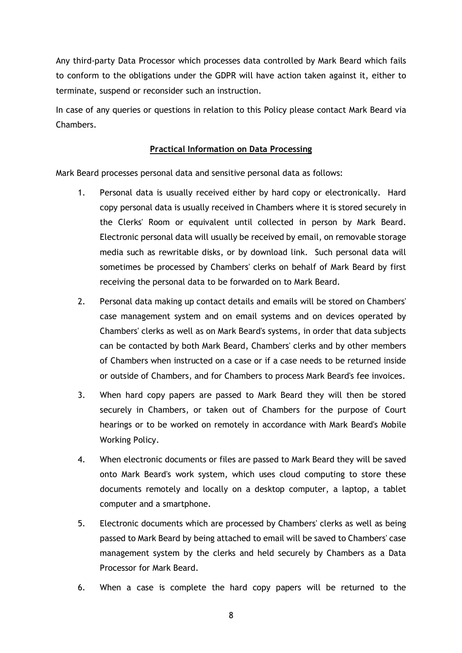Any third-party Data Processor which processes data controlled by Mark Beard which fails to conform to the obligations under the GDPR will have action taken against it, either to terminate, suspend or reconsider such an instruction.

In case of any queries or questions in relation to this Policy please contact Mark Beard via **Chambers** 

### **Practical Information on Data Processing**

Mark Beard processes personal data and sensitive personal data as follows:

- 1. Personal data is usually received either by hard copy or electronically. Hard copy personal data is usually received in Chambers where it is stored securely in the Clerks' Room or equivalent until collected in person by Mark Beard. Electronic personal data will usually be received by email, on removable storage media such as rewritable disks, or by download link. Such personal data will sometimes be processed by Chambers' clerks on behalf of Mark Beard by first receiving the personal data to be forwarded on to Mark Beard.
- 2. Personal data making up contact details and emails will be stored on Chambers' case management system and on email systems and on devices operated by Chambers' clerks as well as on Mark Beard's systems, in order that data subjects can be contacted by both Mark Beard, Chambers' clerks and by other members of Chambers when instructed on a case or if a case needs to be returned inside or outside of Chambers, and for Chambers to process Mark Beard's fee invoices.
- 3. When hard copy papers are passed to Mark Beard they will then be stored securely in Chambers, or taken out of Chambers for the purpose of Court hearings or to be worked on remotely in accordance with Mark Beard's Mobile Working Policy.
- 4. When electronic documents or files are passed to Mark Beard they will be saved onto Mark Beard's work system, which uses cloud computing to store these documents remotely and locally on a desktop computer, a laptop, a tablet computer and a smartphone.
- 5. Electronic documents which are processed by Chambers' clerks as well as being passed to Mark Beard by being attached to email will be saved to Chambers' case management system by the clerks and held securely by Chambers as a Data Processor for Mark Beard.
- 6. When a case is complete the hard copy papers will be returned to the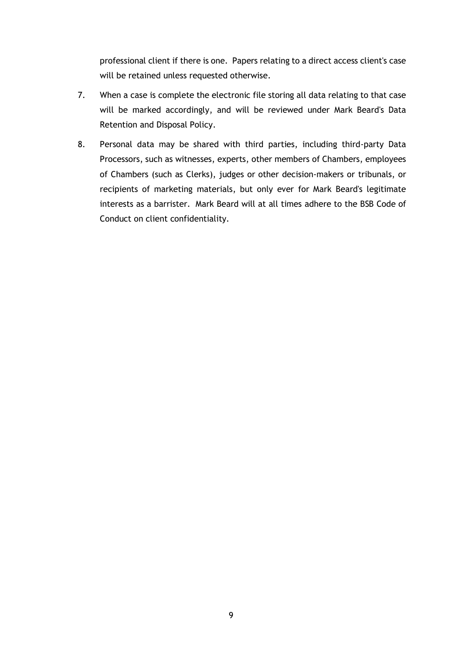professional client if there is one. Papers relating to a direct access client's case will be retained unless requested otherwise.

- 7. When a case is complete the electronic file storing all data relating to that case will be marked accordingly, and will be reviewed under Mark Beard's Data Retention and Disposal Policy.
- 8. Personal data may be shared with third parties, including third-party Data Processors, such as witnesses, experts, other members of Chambers, employees of Chambers (such as Clerks), judges or other decision-makers or tribunals, or recipients of marketing materials, but only ever for Mark Beard's legitimate interests as a barrister. Mark Beard will at all times adhere to the BSB Code of Conduct on client confidentiality.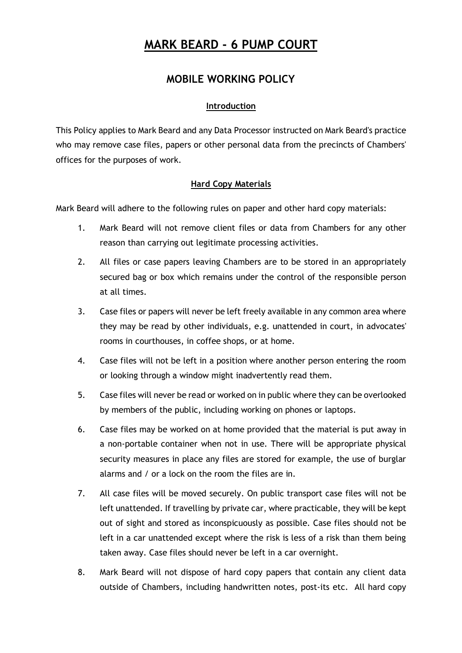## **MOBILE WORKING POLICY**

### **Introduction**

This Policy applies to Mark Beard and any Data Processor instructed on Mark Beard's practice who may remove case files, papers or other personal data from the precincts of Chambers' offices for the purposes of work.

### **Hard Copy Materials**

Mark Beard will adhere to the following rules on paper and other hard copy materials:

- 1. Mark Beard will not remove client files or data from Chambers for any other reason than carrying out legitimate processing activities.
- 2. All files or case papers leaving Chambers are to be stored in an appropriately secured bag or box which remains under the control of the responsible person at all times.
- 3. Case files or papers will never be left freely available in any common area where they may be read by other individuals, e.g. unattended in court, in advocates' rooms in courthouses, in coffee shops, or at home.
- 4. Case files will not be left in a position where another person entering the room or looking through a window might inadvertently read them.
- 5. Case files will never be read or worked on in public where they can be overlooked by members of the public, including working on phones or laptops.
- 6. Case files may be worked on at home provided that the material is put away in a non-portable container when not in use. There will be appropriate physical security measures in place any files are stored for example, the use of burglar alarms and / or a lock on the room the files are in.
- 7. All case files will be moved securely. On public transport case files will not be left unattended. If travelling by private car, where practicable, they will be kept out of sight and stored as inconspicuously as possible. Case files should not be left in a car unattended except where the risk is less of a risk than them being taken away. Case files should never be left in a car overnight.
- 8. Mark Beard will not dispose of hard copy papers that contain any client data outside of Chambers, including handwritten notes, post-its etc. All hard copy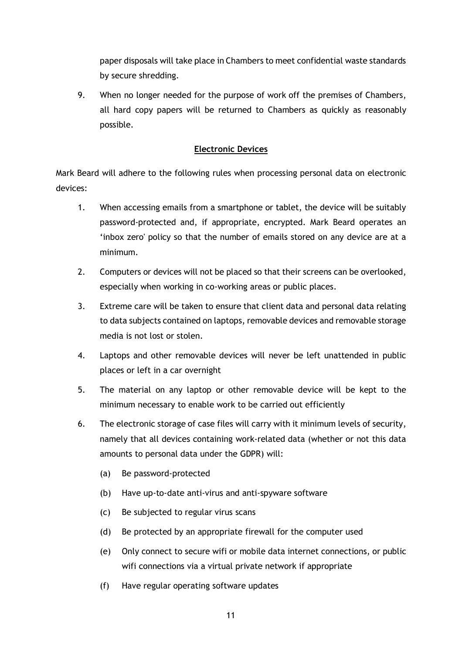paper disposals will take place in Chambers to meet confidential waste standards by secure shredding.

9. When no longer needed for the purpose of work off the premises of Chambers, all hard copy papers will be returned to Chambers as quickly as reasonably possible.

### **Electronic Devices**

Mark Beard will adhere to the following rules when processing personal data on electronic devices:

- 1. When accessing emails from a smartphone or tablet, the device will be suitably password-protected and, if appropriate, encrypted. Mark Beard operates an 'inbox zero' policy so that the number of emails stored on any device are at a minimum.
- 2. Computers or devices will not be placed so that their screens can be overlooked, especially when working in co-working areas or public places.
- 3. Extreme care will be taken to ensure that client data and personal data relating to data subjects contained on laptops, removable devices and removable storage media is not lost or stolen.
- 4. Laptops and other removable devices will never be left unattended in public places or left in a car overnight
- 5. The material on any laptop or other removable device will be kept to the minimum necessary to enable work to be carried out efficiently
- 6. The electronic storage of case files will carry with it minimum levels of security, namely that all devices containing work-related data (whether or not this data amounts to personal data under the GDPR) will:
	- (a) Be password-protected
	- (b) Have up-to-date anti-virus and anti-spyware software
	- (c) Be subjected to regular virus scans
	- (d) Be protected by an appropriate firewall for the computer used
	- (e) Only connect to secure wifi or mobile data internet connections, or public wifi connections via a virtual private network if appropriate
	- (f) Have regular operating software updates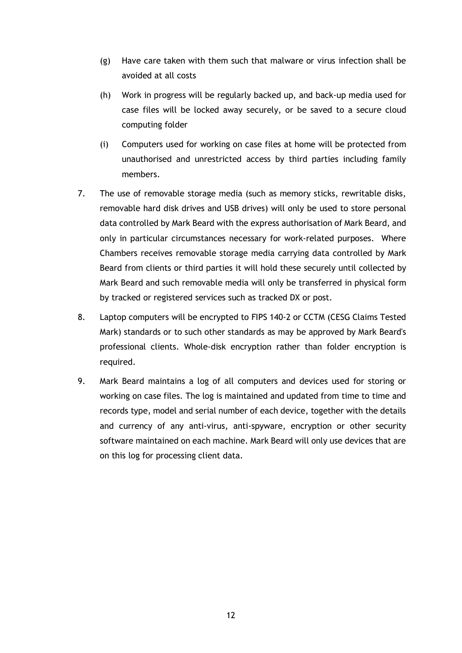- (g) Have care taken with them such that malware or virus infection shall be avoided at all costs
- (h) Work in progress will be regularly backed up, and back-up media used for case files will be locked away securely, or be saved to a secure cloud computing folder
- (i) Computers used for working on case files at home will be protected from unauthorised and unrestricted access by third parties including family members.
- 7. The use of removable storage media (such as memory sticks, rewritable disks, removable hard disk drives and USB drives) will only be used to store personal data controlled by Mark Beard with the express authorisation of Mark Beard, and only in particular circumstances necessary for work-related purposes. Where Chambers receives removable storage media carrying data controlled by Mark Beard from clients or third parties it will hold these securely until collected by Mark Beard and such removable media will only be transferred in physical form by tracked or registered services such as tracked DX or post.
- 8. Laptop computers will be encrypted to FIPS 140-2 or CCTM (CESG Claims Tested Mark) standards or to such other standards as may be approved by Mark Beard's professional clients. Whole-disk encryption rather than folder encryption is required.
- 9. Mark Beard maintains a log of all computers and devices used for storing or working on case files. The log is maintained and updated from time to time and records type, model and serial number of each device, together with the details and currency of any anti-virus, anti-spyware, encryption or other security software maintained on each machine. Mark Beard will only use devices that are on this log for processing client data.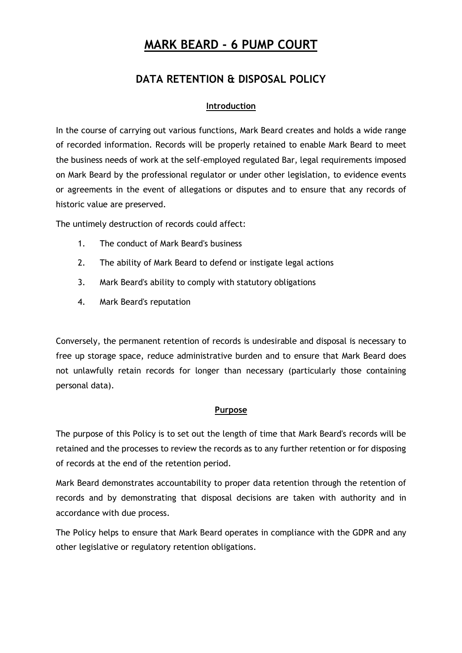## **DATA RETENTION & DISPOSAL POLICY**

### **Introduction**

In the course of carrying out various functions, Mark Beard creates and holds a wide range of recorded information. Records will be properly retained to enable Mark Beard to meet the business needs of work at the self-employed regulated Bar, legal requirements imposed on Mark Beard by the professional regulator or under other legislation, to evidence events or agreements in the event of allegations or disputes and to ensure that any records of historic value are preserved.

The untimely destruction of records could affect:

- 1. The conduct of Mark Beard's business
- 2. The ability of Mark Beard to defend or instigate legal actions
- 3. Mark Beard's ability to comply with statutory obligations
- 4. Mark Beard's reputation

Conversely, the permanent retention of records is undesirable and disposal is necessary to free up storage space, reduce administrative burden and to ensure that Mark Beard does not unlawfully retain records for longer than necessary (particularly those containing personal data).

### **Purpose**

The purpose of this Policy is to set out the length of time that Mark Beard's records will be retained and the processes to review the records as to any further retention or for disposing of records at the end of the retention period.

Mark Beard demonstrates accountability to proper data retention through the retention of records and by demonstrating that disposal decisions are taken with authority and in accordance with due process.

The Policy helps to ensure that Mark Beard operates in compliance with the GDPR and any other legislative or regulatory retention obligations.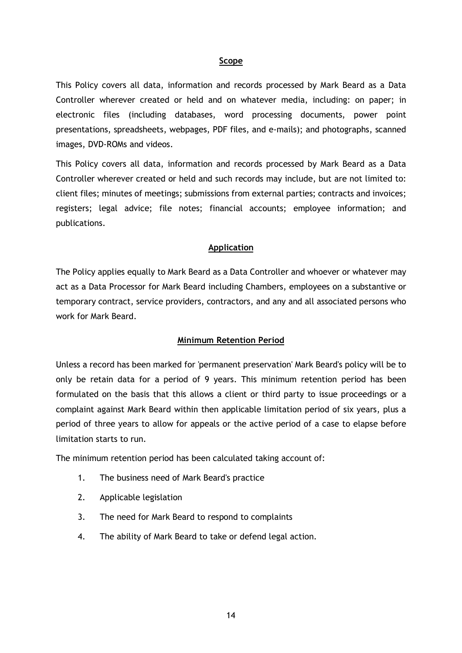#### **Scope**

This Policy covers all data, information and records processed by Mark Beard as a Data Controller wherever created or held and on whatever media, including: on paper; in electronic files (including databases, word processing documents, power point presentations, spreadsheets, webpages, PDF files, and e-mails); and photographs, scanned images, DVD-ROMs and videos.

This Policy covers all data, information and records processed by Mark Beard as a Data Controller wherever created or held and such records may include, but are not limited to: client files; minutes of meetings; submissions from external parties; contracts and invoices; registers; legal advice; file notes; financial accounts; employee information; and publications.

#### **Application**

The Policy applies equally to Mark Beard as a Data Controller and whoever or whatever may act as a Data Processor for Mark Beard including Chambers, employees on a substantive or temporary contract, service providers, contractors, and any and all associated persons who work for Mark Beard.

#### **Minimum Retention Period**

Unless a record has been marked for 'permanent preservation' Mark Beard's policy will be to only be retain data for a period of 9 years. This minimum retention period has been formulated on the basis that this allows a client or third party to issue proceedings or a complaint against Mark Beard within then applicable limitation period of six years, plus a period of three years to allow for appeals or the active period of a case to elapse before limitation starts to run.

The minimum retention period has been calculated taking account of:

- 1. The business need of Mark Beard's practice
- 2. Applicable legislation
- 3. The need for Mark Beard to respond to complaints
- 4. The ability of Mark Beard to take or defend legal action.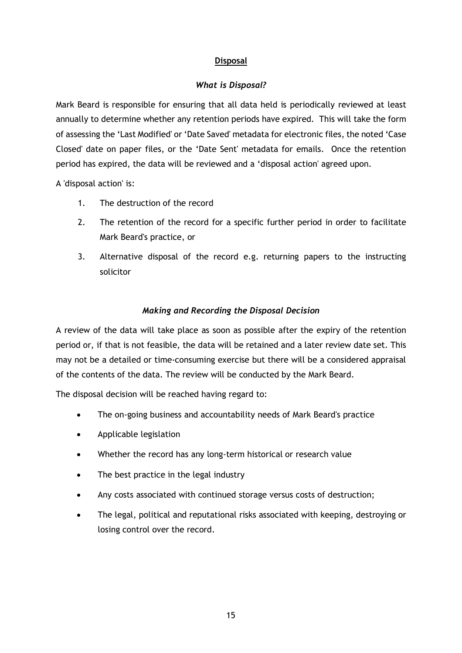### **Disposal**

### *What is Disposal?*

Mark Beard is responsible for ensuring that all data held is periodically reviewed at least annually to determine whether any retention periods have expired. This will take the form of assessing the 'Last Modified' or 'Date Saved' metadata for electronic files, the noted 'Case Closed' date on paper files, or the 'Date Sent' metadata for emails. Once the retention period has expired, the data will be reviewed and a 'disposal action' agreed upon.

A 'disposal action' is:

- 1. The destruction of the record
- 2. The retention of the record for a specific further period in order to facilitate Mark Beard's practice, or
- 3. Alternative disposal of the record e.g. returning papers to the instructing solicitor

### *Making and Recording the Disposal Decision*

A review of the data will take place as soon as possible after the expiry of the retention period or, if that is not feasible, the data will be retained and a later review date set. This may not be a detailed or time-consuming exercise but there will be a considered appraisal of the contents of the data. The review will be conducted by the Mark Beard.

The disposal decision will be reached having regard to:

- The on-going business and accountability needs of Mark Beard's practice
- Applicable legislation
- Whether the record has any long-term historical or research value
- The best practice in the legal industry
- Any costs associated with continued storage versus costs of destruction;
- The legal, political and reputational risks associated with keeping, destroying or losing control over the record.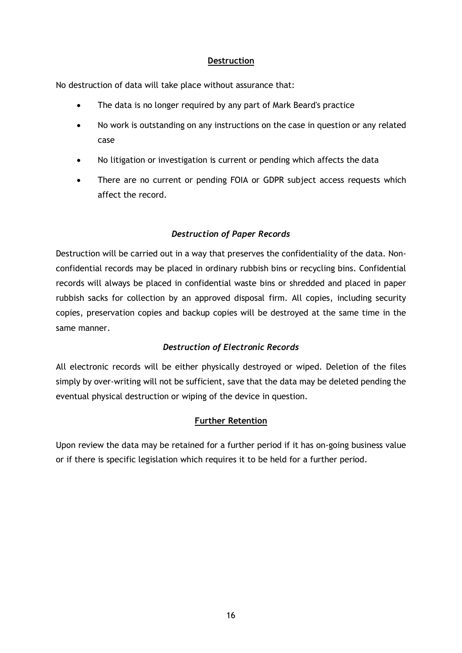### **Destruction**

No destruction of data will take place without assurance that:

- The data is no longer required by any part of Mark Beard's practice
- No work is outstanding on any instructions on the case in question or any related case
- No litigation or investigation is current or pending which affects the data
- There are no current or pending FOIA or GDPR subject access requests which affect the record.

## *Destruction of Paper Records*

Destruction will be carried out in a way that preserves the confidentiality of the data. Nonconfidential records may be placed in ordinary rubbish bins or recycling bins. Confidential records will always be placed in confidential waste bins or shredded and placed in paper rubbish sacks for collection by an approved disposal firm. All copies, including security copies, preservation copies and backup copies will be destroyed at the same time in the same manner.

## *Destruction of Electronic Records*

All electronic records will be either physically destroyed or wiped. Deletion of the files simply by over-writing will not be sufficient, save that the data may be deleted pending the eventual physical destruction or wiping of the device in question.

### **Further Retention**

Upon review the data may be retained for a further period if it has on-going business value or if there is specific legislation which requires it to be held for a further period.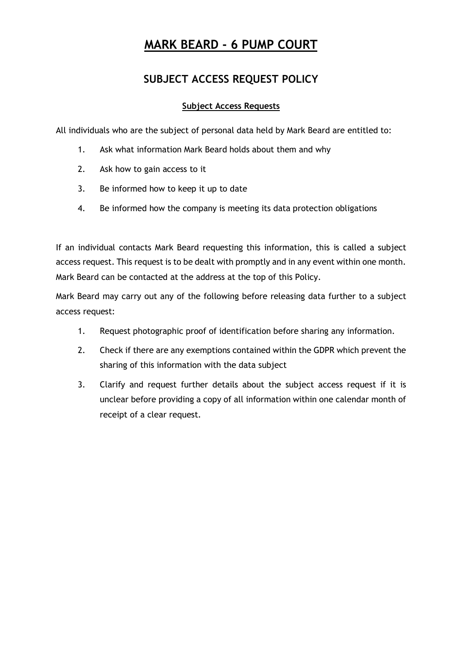## **SUBJECT ACCESS REQUEST POLICY**

## **Subject Access Requests**

All individuals who are the subject of personal data held by Mark Beard are entitled to:

- 1. Ask what information Mark Beard holds about them and why
- 2. Ask how to gain access to it
- 3. Be informed how to keep it up to date
- 4. Be informed how the company is meeting its data protection obligations

If an individual contacts Mark Beard requesting this information, this is called a subject access request. This request is to be dealt with promptly and in any event within one month. Mark Beard can be contacted at the address at the top of this Policy.

Mark Beard may carry out any of the following before releasing data further to a subject access request:

- 1. Request photographic proof of identification before sharing any information.
- 2. Check if there are any exemptions contained within the GDPR which prevent the sharing of this information with the data subject
- 3. Clarify and request further details about the subject access request if it is unclear before providing a copy of all information within one calendar month of receipt of a clear request.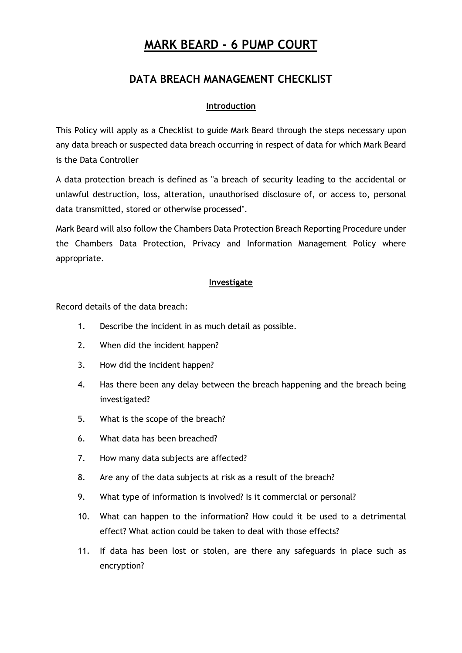## **DATA BREACH MANAGEMENT CHECKLIST**

### **Introduction**

This Policy will apply as a Checklist to guide Mark Beard through the steps necessary upon any data breach or suspected data breach occurring in respect of data for which Mark Beard is the Data Controller

A data protection breach is defined as "a breach of security leading to the accidental or unlawful destruction, loss, alteration, unauthorised disclosure of, or access to, personal data transmitted, stored or otherwise processed".

Mark Beard will also follow the Chambers Data Protection Breach Reporting Procedure under the Chambers Data Protection, Privacy and Information Management Policy where appropriate.

### **Investigate**

Record details of the data breach:

- 1. Describe the incident in as much detail as possible.
- 2. When did the incident happen?
- 3. How did the incident happen?
- 4. Has there been any delay between the breach happening and the breach being investigated?
- 5. What is the scope of the breach?
- 6. What data has been breached?
- 7. How many data subjects are affected?
- 8. Are any of the data subjects at risk as a result of the breach?
- 9. What type of information is involved? Is it commercial or personal?
- 10. What can happen to the information? How could it be used to a detrimental effect? What action could be taken to deal with those effects?
- 11. If data has been lost or stolen, are there any safeguards in place such as encryption?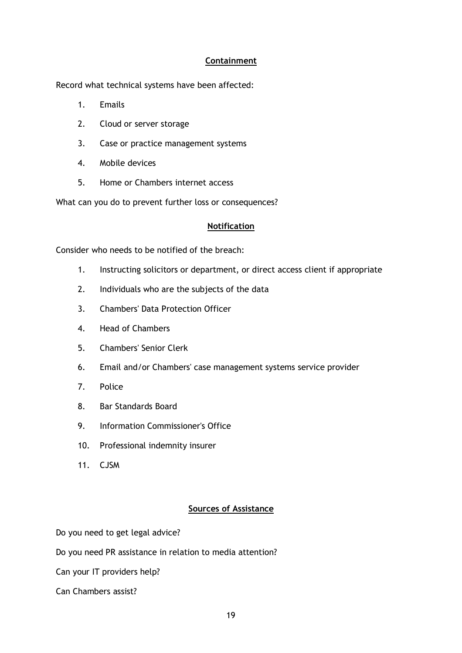### **Containment**

Record what technical systems have been affected:

- 1. Emails
- 2. Cloud or server storage
- 3. Case or practice management systems
- 4. Mobile devices
- 5. Home or Chambers internet access

What can you do to prevent further loss or consequences?

### **Notification**

Consider who needs to be notified of the breach:

- 1. Instructing solicitors or department, or direct access client if appropriate
- 2. Individuals who are the subjects of the data
- 3. Chambers' Data Protection Officer
- 4. Head of Chambers
- 5. Chambers' Senior Clerk
- 6. Email and/or Chambers' case management systems service provider
- 7. Police
- 8. Bar Standards Board
- 9. Information Commissioner's Office
- 10. Professional indemnity insurer
- 11. CJSM

### **Sources of Assistance**

Do you need to get legal advice?

Do you need PR assistance in relation to media attention?

Can your IT providers help?

Can Chambers assist?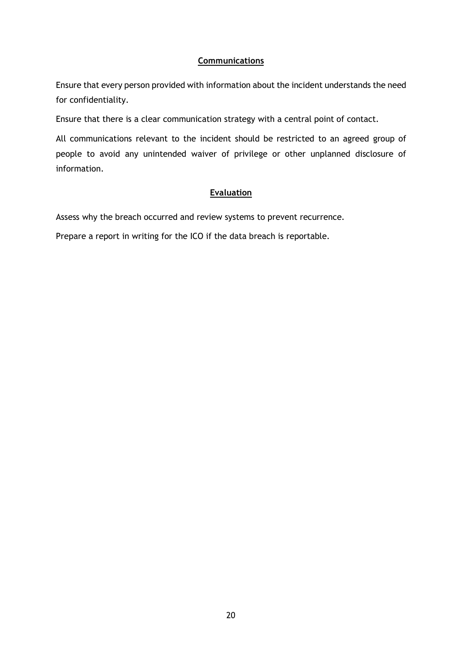### **Communications**

Ensure that every person provided with information about the incident understands the need for confidentiality.

Ensure that there is a clear communication strategy with a central point of contact.

All communications relevant to the incident should be restricted to an agreed group of people to avoid any unintended waiver of privilege or other unplanned disclosure of information.

### **Evaluation**

Assess why the breach occurred and review systems to prevent recurrence.

Prepare a report in writing for the ICO if the data breach is reportable.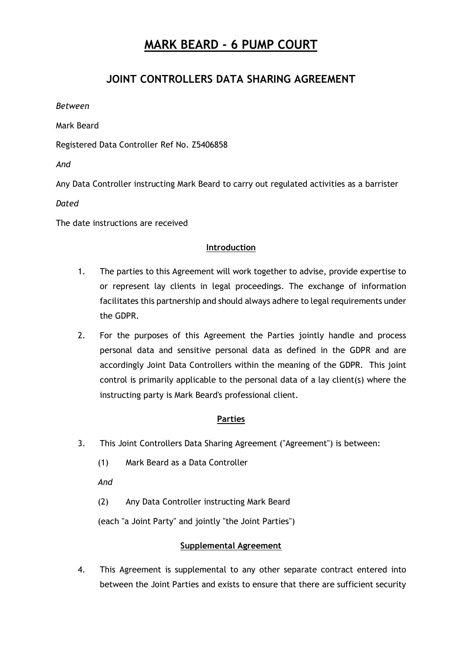## **JOINT CONTROLLERS DATA SHARING AGREEMENT**

*Between*

Mark Beard

Registered Data Controller Ref No. Z5406858

*And*

Any Data Controller instructing Mark Beard to carry out regulated activities as a barrister

*Dated*

The date instructions are received

## **Introduction**

- 1. The parties to this Agreement will work together to advise, provide expertise to or represent lay clients in legal proceedings. The exchange of information facilitates this partnership and should always adhere to legal requirements under the GDPR.
- 2. For the purposes of this Agreement the Parties jointly handle and process personal data and sensitive personal data as defined in the GDPR and are accordingly Joint Data Controllers within the meaning of the GDPR. This joint control is primarily applicable to the personal data of a lay client(s) where the instructing party is Mark Beard's professional client.

### **Parties**

- 3. This Joint Controllers Data Sharing Agreement ("Agreement") is between:
	- (1) Mark Beard as a Data Controller

*And*

(2) Any Data Controller instructing Mark Beard

(each "a Joint Party" and jointly "the Joint Parties")

### **Supplemental Agreement**

4. This Agreement is supplemental to any other separate contract entered into between the Joint Parties and exists to ensure that there are sufficient security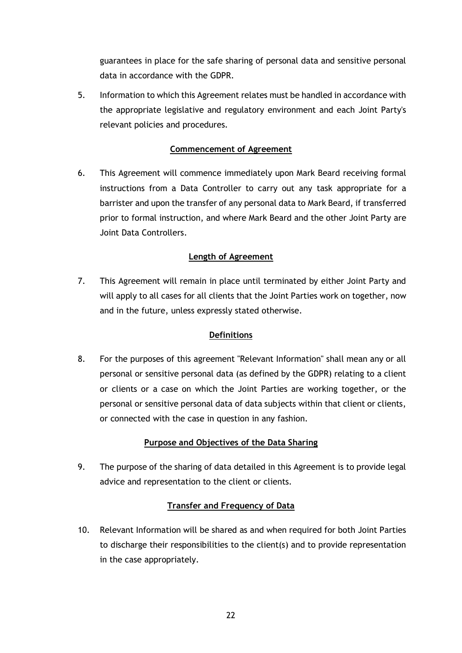guarantees in place for the safe sharing of personal data and sensitive personal data in accordance with the GDPR.

5. Information to which this Agreement relates must be handled in accordance with the appropriate legislative and regulatory environment and each Joint Party's relevant policies and procedures.

### **Commencement of Agreement**

6. This Agreement will commence immediately upon Mark Beard receiving formal instructions from a Data Controller to carry out any task appropriate for a barrister and upon the transfer of any personal data to Mark Beard, if transferred prior to formal instruction, and where Mark Beard and the other Joint Party are Joint Data Controllers.

## **Length of Agreement**

7. This Agreement will remain in place until terminated by either Joint Party and will apply to all cases for all clients that the Joint Parties work on together, now and in the future, unless expressly stated otherwise.

### **Definitions**

8. For the purposes of this agreement "Relevant Information" shall mean any or all personal or sensitive personal data (as defined by the GDPR) relating to a client or clients or a case on which the Joint Parties are working together, or the personal or sensitive personal data of data subjects within that client or clients, or connected with the case in question in any fashion.

## **Purpose and Objectives of the Data Sharing**

9. The purpose of the sharing of data detailed in this Agreement is to provide legal advice and representation to the client or clients.

## **Transfer and Frequency of Data**

10. Relevant Information will be shared as and when required for both Joint Parties to discharge their responsibilities to the client(s) and to provide representation in the case appropriately.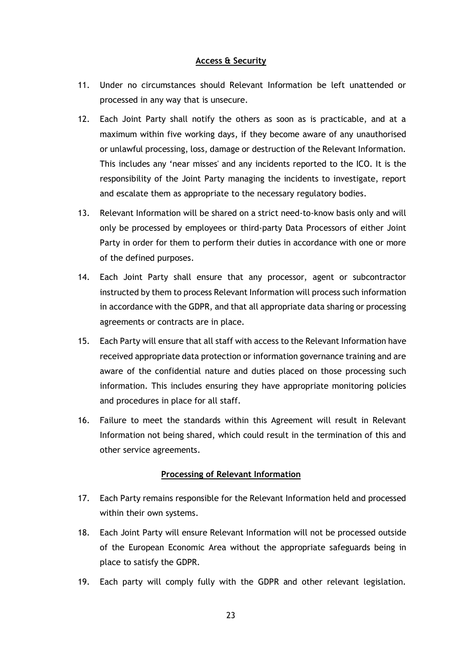### **Access & Security**

- 11. Under no circumstances should Relevant Information be left unattended or processed in any way that is unsecure.
- 12. Each Joint Party shall notify the others as soon as is practicable, and at a maximum within five working days, if they become aware of any unauthorised or unlawful processing, loss, damage or destruction of the Relevant Information. This includes any 'near misses' and any incidents reported to the ICO. It is the responsibility of the Joint Party managing the incidents to investigate, report and escalate them as appropriate to the necessary regulatory bodies.
- 13. Relevant Information will be shared on a strict need-to-know basis only and will only be processed by employees or third-party Data Processors of either Joint Party in order for them to perform their duties in accordance with one or more of the defined purposes.
- 14. Each Joint Party shall ensure that any processor, agent or subcontractor instructed by them to process Relevant Information will process such information in accordance with the GDPR, and that all appropriate data sharing or processing agreements or contracts are in place.
- 15. Each Party will ensure that all staff with access to the Relevant Information have received appropriate data protection or information governance training and are aware of the confidential nature and duties placed on those processing such information. This includes ensuring they have appropriate monitoring policies and procedures in place for all staff.
- 16. Failure to meet the standards within this Agreement will result in Relevant Information not being shared, which could result in the termination of this and other service agreements.

### **Processing of Relevant Information**

- 17. Each Party remains responsible for the Relevant Information held and processed within their own systems.
- 18. Each Joint Party will ensure Relevant Information will not be processed outside of the European Economic Area without the appropriate safeguards being in place to satisfy the GDPR.
- 19. Each party will comply fully with the GDPR and other relevant legislation.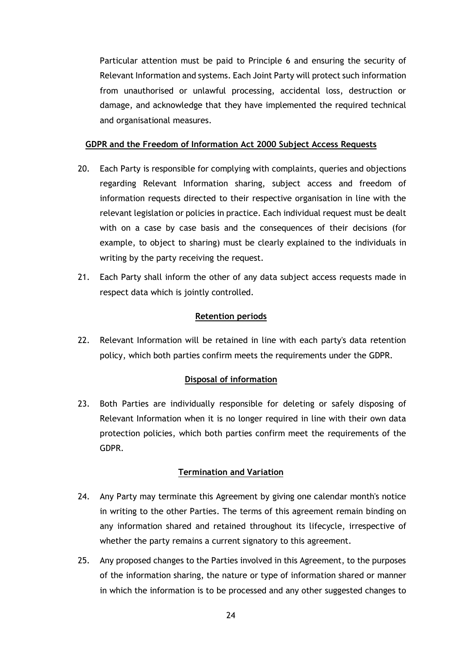Particular attention must be paid to Principle 6 and ensuring the security of Relevant Information and systems. Each Joint Party will protect such information from unauthorised or unlawful processing, accidental loss, destruction or damage, and acknowledge that they have implemented the required technical and organisational measures.

### **GDPR and the Freedom of Information Act 2000 Subject Access Requests**

- 20. Each Party is responsible for complying with complaints, queries and objections regarding Relevant Information sharing, subject access and freedom of information requests directed to their respective organisation in line with the relevant legislation or policies in practice. Each individual request must be dealt with on a case by case basis and the consequences of their decisions (for example, to object to sharing) must be clearly explained to the individuals in writing by the party receiving the request.
- 21. Each Party shall inform the other of any data subject access requests made in respect data which is jointly controlled.

### **Retention periods**

22. Relevant Information will be retained in line with each party's data retention policy, which both parties confirm meets the requirements under the GDPR.

### **Disposal of information**

23. Both Parties are individually responsible for deleting or safely disposing of Relevant Information when it is no longer required in line with their own data protection policies, which both parties confirm meet the requirements of the GDPR.

### **Termination and Variation**

- 24. Any Party may terminate this Agreement by giving one calendar month's notice in writing to the other Parties. The terms of this agreement remain binding on any information shared and retained throughout its lifecycle, irrespective of whether the party remains a current signatory to this agreement.
- 25. Any proposed changes to the Parties involved in this Agreement, to the purposes of the information sharing, the nature or type of information shared or manner in which the information is to be processed and any other suggested changes to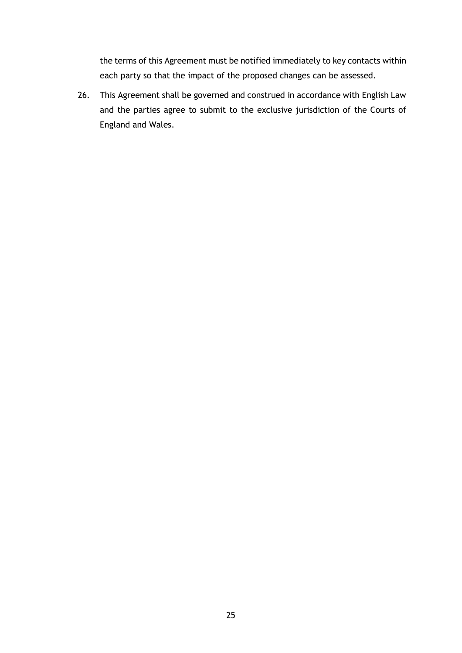the terms of this Agreement must be notified immediately to key contacts within each party so that the impact of the proposed changes can be assessed.

26. This Agreement shall be governed and construed in accordance with English Law and the parties agree to submit to the exclusive jurisdiction of the Courts of England and Wales.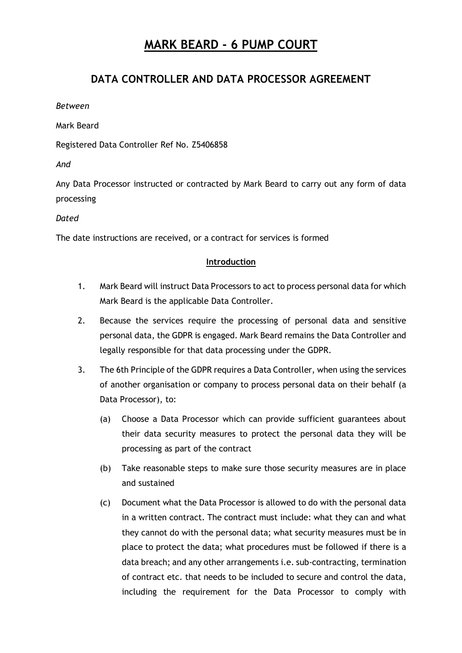## **DATA CONTROLLER AND DATA PROCESSOR AGREEMENT**

*Between*

Mark Beard

Registered Data Controller Ref No. Z5406858

*And*

Any Data Processor instructed or contracted by Mark Beard to carry out any form of data processing

*Dated*

The date instructions are received, or a contract for services is formed

### **Introduction**

- 1. Mark Beard will instruct Data Processors to act to process personal data for which Mark Beard is the applicable Data Controller.
- 2. Because the services require the processing of personal data and sensitive personal data, the GDPR is engaged. Mark Beard remains the Data Controller and legally responsible for that data processing under the GDPR.
- 3. The 6th Principle of the GDPR requires a Data Controller, when using the services of another organisation or company to process personal data on their behalf (a Data Processor), to:
	- (a) Choose a Data Processor which can provide sufficient guarantees about their data security measures to protect the personal data they will be processing as part of the contract
	- (b) Take reasonable steps to make sure those security measures are in place and sustained
	- (c) Document what the Data Processor is allowed to do with the personal data in a written contract. The contract must include: what they can and what they cannot do with the personal data; what security measures must be in place to protect the data; what procedures must be followed if there is a data breach; and any other arrangements i.e. sub-contracting, termination of contract etc. that needs to be included to secure and control the data, including the requirement for the Data Processor to comply with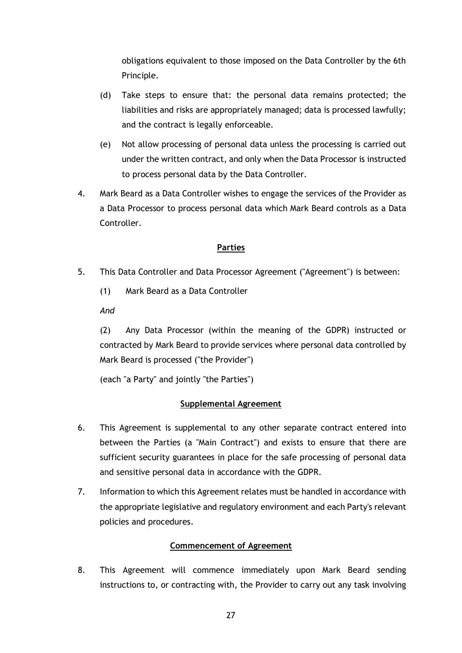obligations equivalent to those imposed on the Data Controller by the 6th Principle.

- (d) Take steps to ensure that: the personal data remains protected; the liabilities and risks are appropriately managed; data is processed lawfully; and the contract is legally enforceable.
- (e) Not allow processing of personal data unless the processing is carried out under the written contract, and only when the Data Processor is instructed to process personal data by the Data Controller.
- 4. Mark Beard as a Data Controller wishes to engage the services of the Provider as a Data Processor to process personal data which Mark Beard controls as a Data Controller.

### **Parties**

- 5. This Data Controller and Data Processor Agreement ("Agreement") is between:
	- (1) Mark Beard as a Data Controller

*And*

(2) Any Data Processor (within the meaning of the GDPR) instructed or contracted by Mark Beard to provide services where personal data controlled by Mark Beard is processed ("the Provider")

(each "a Party" and jointly "the Parties")

### **Supplemental Agreement**

- 6. This Agreement is supplemental to any other separate contract entered into between the Parties (a "Main Contract") and exists to ensure that there are sufficient security guarantees in place for the safe processing of personal data and sensitive personal data in accordance with the GDPR.
- 7. Information to which this Agreement relates must be handled in accordance with the appropriate legislative and regulatory environment and each Party's relevant policies and procedures.

### **Commencement of Agreement**

8. This Agreement will commence immediately upon Mark Beard sending instructions to, or contracting with, the Provider to carry out any task involving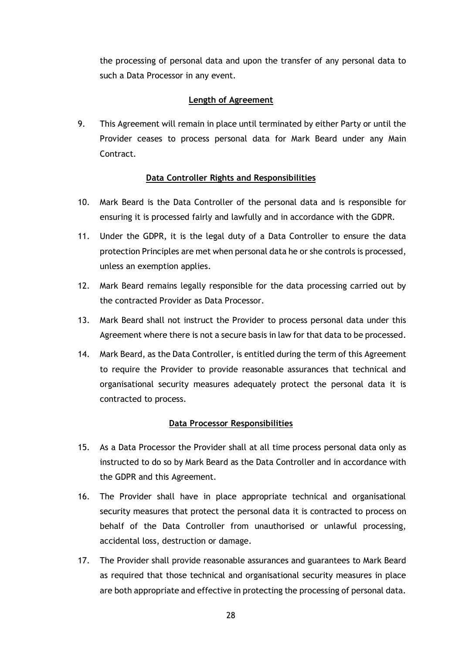the processing of personal data and upon the transfer of any personal data to such a Data Processor in any event.

### **Length of Agreement**

9. This Agreement will remain in place until terminated by either Party or until the Provider ceases to process personal data for Mark Beard under any Main Contract.

### **Data Controller Rights and Responsibilities**

- 10. Mark Beard is the Data Controller of the personal data and is responsible for ensuring it is processed fairly and lawfully and in accordance with the GDPR.
- 11. Under the GDPR, it is the legal duty of a Data Controller to ensure the data protection Principles are met when personal data he or she controls is processed, unless an exemption applies.
- 12. Mark Beard remains legally responsible for the data processing carried out by the contracted Provider as Data Processor.
- 13. Mark Beard shall not instruct the Provider to process personal data under this Agreement where there is not a secure basis in law for that data to be processed.
- 14. Mark Beard, as the Data Controller, is entitled during the term of this Agreement to require the Provider to provide reasonable assurances that technical and organisational security measures adequately protect the personal data it is contracted to process.

### **Data Processor Responsibilities**

- 15. As a Data Processor the Provider shall at all time process personal data only as instructed to do so by Mark Beard as the Data Controller and in accordance with the GDPR and this Agreement.
- 16. The Provider shall have in place appropriate technical and organisational security measures that protect the personal data it is contracted to process on behalf of the Data Controller from unauthorised or unlawful processing, accidental loss, destruction or damage.
- 17. The Provider shall provide reasonable assurances and guarantees to Mark Beard as required that those technical and organisational security measures in place are both appropriate and effective in protecting the processing of personal data.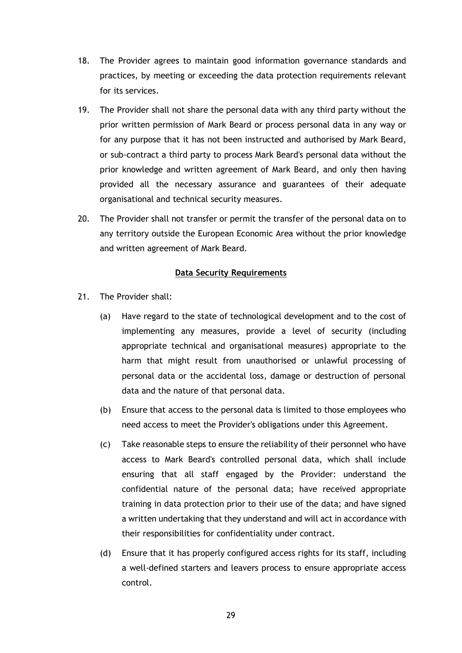- 18. The Provider agrees to maintain good information governance standards and practices, by meeting or exceeding the data protection requirements relevant for its services.
- 19. The Provider shall not share the personal data with any third party without the prior written permission of Mark Beard or process personal data in any way or for any purpose that it has not been instructed and authorised by Mark Beard, or sub-contract a third party to process Mark Beard's personal data without the prior knowledge and written agreement of Mark Beard, and only then having provided all the necessary assurance and guarantees of their adequate organisational and technical security measures.
- 20. The Provider shall not transfer or permit the transfer of the personal data on to any territory outside the European Economic Area without the prior knowledge and written agreement of Mark Beard.

#### **Data Security Requirements**

- 21. The Provider shall:
	- (a) Have regard to the state of technological development and to the cost of implementing any measures, provide a level of security (including appropriate technical and organisational measures) appropriate to the harm that might result from unauthorised or unlawful processing of personal data or the accidental loss, damage or destruction of personal data and the nature of that personal data.
	- (b) Ensure that access to the personal data is limited to those employees who need access to meet the Provider's obligations under this Agreement.
	- (c) Take reasonable steps to ensure the reliability of their personnel who have access to Mark Beard's controlled personal data, which shall include ensuring that all staff engaged by the Provider: understand the confidential nature of the personal data; have received appropriate training in data protection prior to their use of the data; and have signed a written undertaking that they understand and will act in accordance with their responsibilities for confidentiality under contract.
	- (d) Ensure that it has properly configured access rights for its staff, including a well-defined starters and leavers process to ensure appropriate access control.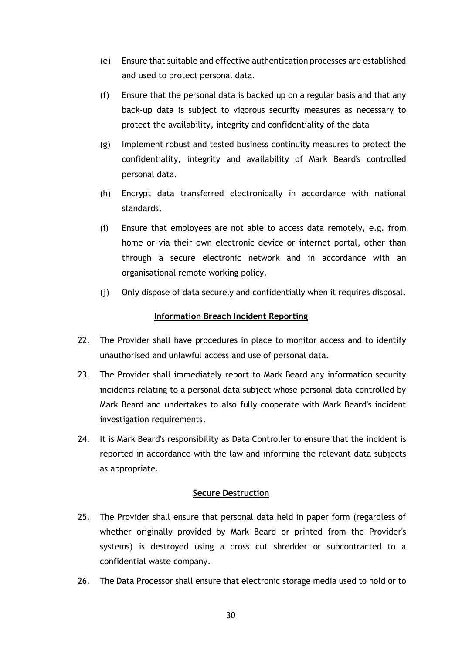- (e) Ensure that suitable and effective authentication processes are established and used to protect personal data.
- (f) Ensure that the personal data is backed up on a regular basis and that any back-up data is subject to vigorous security measures as necessary to protect the availability, integrity and confidentiality of the data
- (g) Implement robust and tested business continuity measures to protect the confidentiality, integrity and availability of Mark Beard's controlled personal data.
- (h) Encrypt data transferred electronically in accordance with national standards.
- (i) Ensure that employees are not able to access data remotely, e.g. from home or via their own electronic device or internet portal, other than through a secure electronic network and in accordance with an organisational remote working policy.
- (j) Only dispose of data securely and confidentially when it requires disposal.

### **Information Breach Incident Reporting**

- 22. The Provider shall have procedures in place to monitor access and to identify unauthorised and unlawful access and use of personal data.
- 23. The Provider shall immediately report to Mark Beard any information security incidents relating to a personal data subject whose personal data controlled by Mark Beard and undertakes to also fully cooperate with Mark Beard's incident investigation requirements.
- 24. It is Mark Beard's responsibility as Data Controller to ensure that the incident is reported in accordance with the law and informing the relevant data subjects as appropriate.

### **Secure Destruction**

- 25. The Provider shall ensure that personal data held in paper form (regardless of whether originally provided by Mark Beard or printed from the Provider's systems) is destroyed using a cross cut shredder or subcontracted to a confidential waste company.
- 26. The Data Processor shall ensure that electronic storage media used to hold or to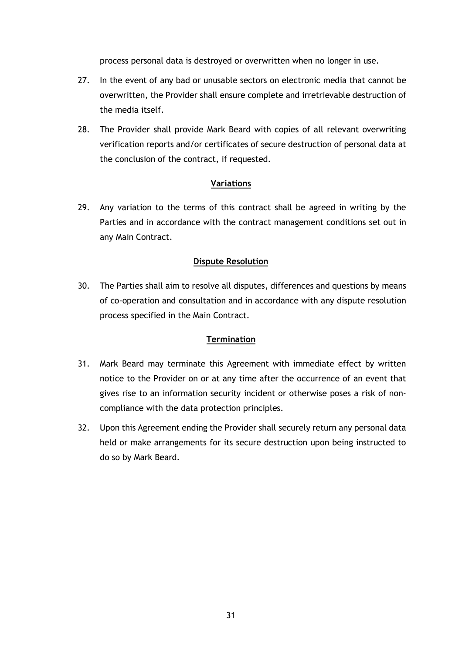process personal data is destroyed or overwritten when no longer in use.

- 27. In the event of any bad or unusable sectors on electronic media that cannot be overwritten, the Provider shall ensure complete and irretrievable destruction of the media itself.
- 28. The Provider shall provide Mark Beard with copies of all relevant overwriting verification reports and/or certificates of secure destruction of personal data at the conclusion of the contract, if requested.

### **Variations**

29. Any variation to the terms of this contract shall be agreed in writing by the Parties and in accordance with the contract management conditions set out in any Main Contract.

### **Dispute Resolution**

30. The Parties shall aim to resolve all disputes, differences and questions by means of co-operation and consultation and in accordance with any dispute resolution process specified in the Main Contract.

### **Termination**

- 31. Mark Beard may terminate this Agreement with immediate effect by written notice to the Provider on or at any time after the occurrence of an event that gives rise to an information security incident or otherwise poses a risk of noncompliance with the data protection principles.
- 32. Upon this Agreement ending the Provider shall securely return any personal data held or make arrangements for its secure destruction upon being instructed to do so by Mark Beard.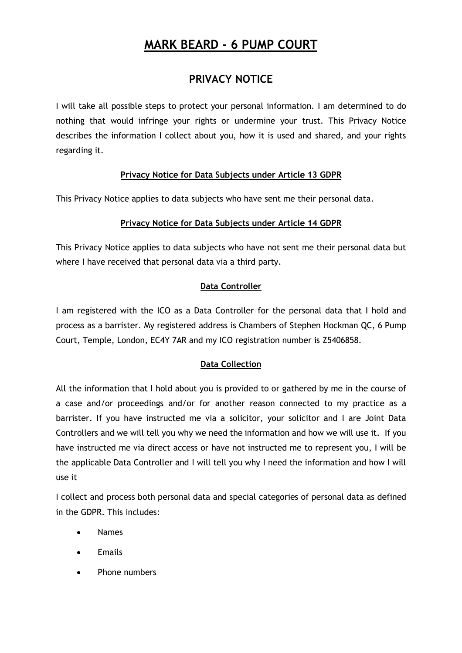## **PRIVACY NOTICE**

I will take all possible steps to protect your personal information. I am determined to do nothing that would infringe your rights or undermine your trust. This Privacy Notice describes the information I collect about you, how it is used and shared, and your rights regarding it.

## **Privacy Notice for Data Subjects under Article 13 GDPR**

This Privacy Notice applies to data subjects who have sent me their personal data.

## **Privacy Notice for Data Subjects under Article 14 GDPR**

This Privacy Notice applies to data subjects who have not sent me their personal data but where I have received that personal data via a third party.

## **Data Controller**

I am registered with the ICO as a Data Controller for the personal data that I hold and process as a barrister. My registered address is Chambers of Stephen Hockman QC, 6 Pump Court, Temple, London, EC4Y 7AR and my ICO registration number is Z5406858.

## **Data Collection**

All the information that I hold about you is provided to or gathered by me in the course of a case and/or proceedings and/or for another reason connected to my practice as a barrister. If you have instructed me via a solicitor, your solicitor and I are Joint Data Controllers and we will tell you why we need the information and how we will use it. If you have instructed me via direct access or have not instructed me to represent you, I will be the applicable Data Controller and I will tell you why I need the information and how I will use it

I collect and process both personal data and special categories of personal data as defined in the GDPR. This includes:

- Names
- **Emails**
- Phone numbers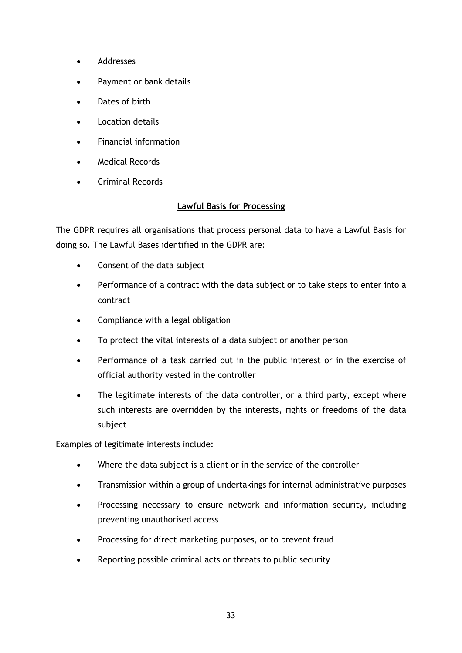- Addresses
- Payment or bank details
- Dates of birth
- Location details
- Financial information
- Medical Records
- Criminal Records

### **Lawful Basis for Processing**

The GDPR requires all organisations that process personal data to have a Lawful Basis for doing so. The Lawful Bases identified in the GDPR are:

- Consent of the data subject
- Performance of a contract with the data subject or to take steps to enter into a contract
- Compliance with a legal obligation
- To protect the vital interests of a data subject or another person
- Performance of a task carried out in the public interest or in the exercise of official authority vested in the controller
- The legitimate interests of the data controller, or a third party, except where such interests are overridden by the interests, rights or freedoms of the data subject

Examples of legitimate interests include:

- Where the data subject is a client or in the service of the controller
- Transmission within a group of undertakings for internal administrative purposes
- Processing necessary to ensure network and information security, including preventing unauthorised access
- Processing for direct marketing purposes, or to prevent fraud
- Reporting possible criminal acts or threats to public security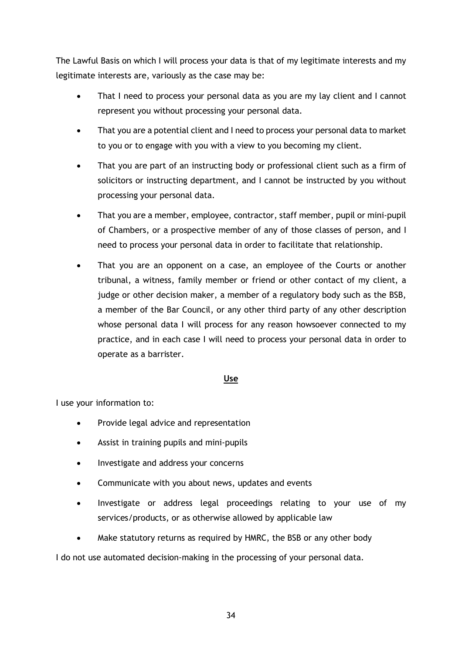The Lawful Basis on which I will process your data is that of my legitimate interests and my legitimate interests are, variously as the case may be:

- That I need to process your personal data as you are my lay client and I cannot represent you without processing your personal data.
- That you are a potential client and I need to process your personal data to market to you or to engage with you with a view to you becoming my client.
- That you are part of an instructing body or professional client such as a firm of solicitors or instructing department, and I cannot be instructed by you without processing your personal data.
- That you are a member, employee, contractor, staff member, pupil or mini-pupil of Chambers, or a prospective member of any of those classes of person, and I need to process your personal data in order to facilitate that relationship.
- That you are an opponent on a case, an employee of the Courts or another tribunal, a witness, family member or friend or other contact of my client, a judge or other decision maker, a member of a regulatory body such as the BSB, a member of the Bar Council, or any other third party of any other description whose personal data I will process for any reason howsoever connected to my practice, and in each case I will need to process your personal data in order to operate as a barrister.

### **Use**

I use your information to:

- Provide legal advice and representation
- Assist in training pupils and mini-pupils
- Investigate and address your concerns
- Communicate with you about news, updates and events
- Investigate or address legal proceedings relating to your use of my services/products, or as otherwise allowed by applicable law
- Make statutory returns as required by HMRC, the BSB or any other body

I do not use automated decision-making in the processing of your personal data.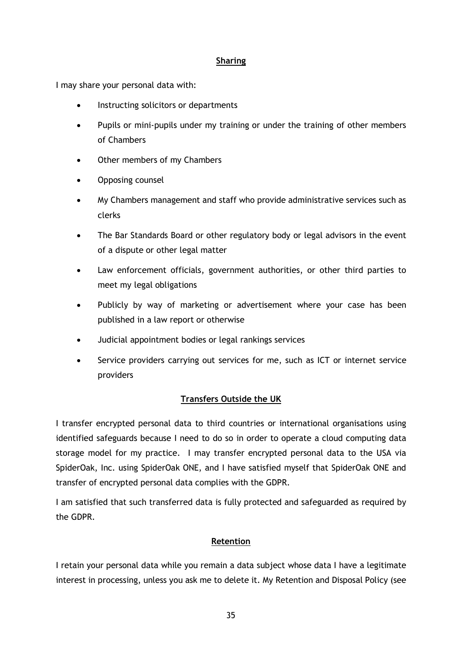### **Sharing**

I may share your personal data with:

- Instructing solicitors or departments
- Pupils or mini-pupils under my training or under the training of other members of Chambers
- Other members of my Chambers
- Opposing counsel
- My Chambers management and staff who provide administrative services such as clerks
- The Bar Standards Board or other regulatory body or legal advisors in the event of a dispute or other legal matter
- Law enforcement officials, government authorities, or other third parties to meet my legal obligations
- Publicly by way of marketing or advertisement where your case has been published in a law report or otherwise
- Judicial appointment bodies or legal rankings services
- Service providers carrying out services for me, such as ICT or internet service providers

### **Transfers Outside the UK**

I transfer encrypted personal data to third countries or international organisations using identified safeguards because I need to do so in order to operate a cloud computing data storage model for my practice. I may transfer encrypted personal data to the USA via SpiderOak, Inc. using SpiderOak ONE, and I have satisfied myself that SpiderOak ONE and transfer of encrypted personal data complies with the GDPR.

I am satisfied that such transferred data is fully protected and safeguarded as required by the GDPR.

### **Retention**

I retain your personal data while you remain a data subject whose data I have a legitimate interest in processing, unless you ask me to delete it. My Retention and Disposal Policy (see